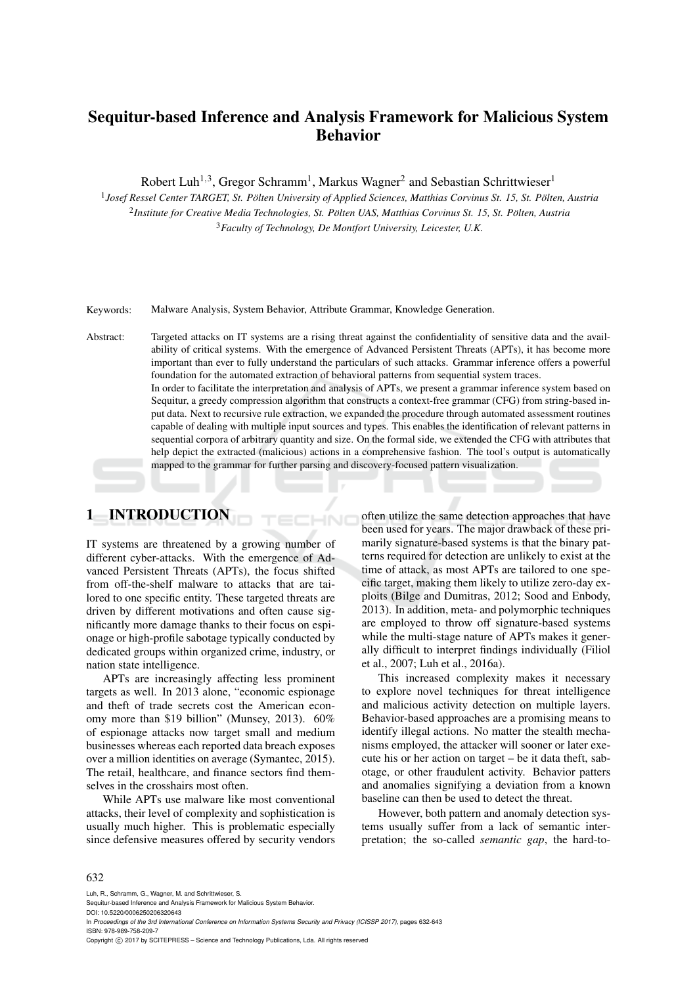# Sequitur-based Inference and Analysis Framework for Malicious System Behavior

Robert Luh<sup>1,3</sup>, Gregor Schramm<sup>1</sup>, Markus Wagner<sup>2</sup> and Sebastian Schrittwieser<sup>1</sup>

<sup>1</sup> Josef Ressel Center TARGET, St. Pölten University of Applied Sciences, Matthias Corvinus St. 15, St. Pölten, Austria <sup>2</sup> Institute for Creative Media Technologies, St. Pölten UAS, Matthias Corvinus St. 15, St. Pölten, Austria <sup>3</sup>*Faculty of Technology, De Montfort University, Leicester, U.K.*

Keywords: Malware Analysis, System Behavior, Attribute Grammar, Knowledge Generation.

Abstract: Targeted attacks on IT systems are a rising threat against the confidentiality of sensitive data and the availability of critical systems. With the emergence of Advanced Persistent Threats (APTs), it has become more important than ever to fully understand the particulars of such attacks. Grammar inference offers a powerful foundation for the automated extraction of behavioral patterns from sequential system traces. In order to facilitate the interpretation and analysis of APTs, we present a grammar inference system based on Sequitur, a greedy compression algorithm that constructs a context-free grammar (CFG) from string-based input data. Next to recursive rule extraction, we expanded the procedure through automated assessment routines capable of dealing with multiple input sources and types. This enables the identification of relevant patterns in sequential corpora of arbitrary quantity and size. On the formal side, we extended the CFG with attributes that help depict the extracted (malicious) actions in a comprehensive fashion. The tool's output is automatically mapped to the grammar for further parsing and discovery-focused pattern visualization.

HNO

## 1 INTRODUCTION

IT systems are threatened by a growing number of different cyber-attacks. With the emergence of Advanced Persistent Threats (APTs), the focus shifted from off-the-shelf malware to attacks that are tailored to one specific entity. These targeted threats are driven by different motivations and often cause significantly more damage thanks to their focus on espionage or high-profile sabotage typically conducted by dedicated groups within organized crime, industry, or nation state intelligence.

APTs are increasingly affecting less prominent targets as well. In 2013 alone, "economic espionage and theft of trade secrets cost the American economy more than \$19 billion" (Munsey, 2013). 60% of espionage attacks now target small and medium businesses whereas each reported data breach exposes over a million identities on average (Symantec, 2015). The retail, healthcare, and finance sectors find themselves in the crosshairs most often.

While APTs use malware like most conventional attacks, their level of complexity and sophistication is usually much higher. This is problematic especially since defensive measures offered by security vendors often utilize the same detection approaches that have been used for years. The major drawback of these primarily signature-based systems is that the binary patterns required for detection are unlikely to exist at the time of attack, as most APTs are tailored to one specific target, making them likely to utilize zero-day exploits (Bilge and Dumitras, 2012; Sood and Enbody, 2013). In addition, meta- and polymorphic techniques are employed to throw off signature-based systems while the multi-stage nature of APTs makes it generally difficult to interpret findings individually (Filiol et al., 2007; Luh et al., 2016a).

This increased complexity makes it necessary to explore novel techniques for threat intelligence and malicious activity detection on multiple layers. Behavior-based approaches are a promising means to identify illegal actions. No matter the stealth mechanisms employed, the attacker will sooner or later execute his or her action on target – be it data theft, sabotage, or other fraudulent activity. Behavior patters and anomalies signifying a deviation from a known baseline can then be used to detect the threat.

However, both pattern and anomaly detection systems usually suffer from a lack of semantic interpretation; the so-called *semantic gap*, the hard-to-

#### 632

Luh, R., Schramm, G., Wagner, M. and Schrittwieser, S.

Sequitur-based Inference and Analysis Framework for Malicious System Behavior.

DOI: 10.5220/0006250206320643

In *Proceedings of the 3rd International Conference on Information Systems Security and Privacy (ICISSP 2017)*, pages 632-643 ISBN: 978-989-758-209-7

Copyright © 2017 by SCITEPRESS - Science and Technology Publications, Lda. All rights reserved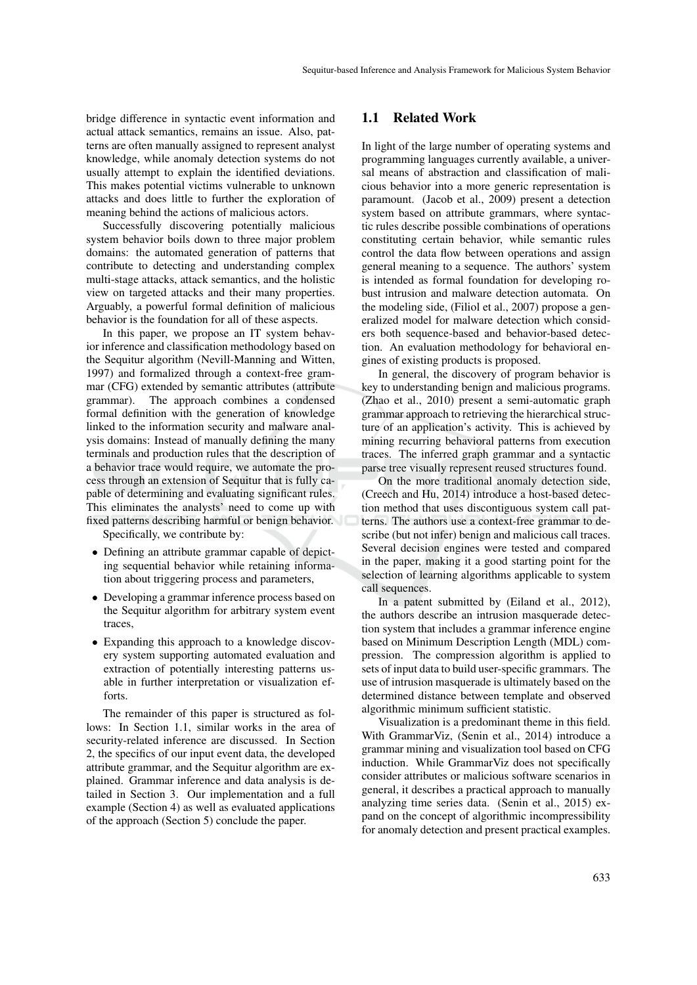bridge difference in syntactic event information and actual attack semantics, remains an issue. Also, patterns are often manually assigned to represent analyst knowledge, while anomaly detection systems do not usually attempt to explain the identified deviations. This makes potential victims vulnerable to unknown attacks and does little to further the exploration of meaning behind the actions of malicious actors.

Successfully discovering potentially malicious system behavior boils down to three major problem domains: the automated generation of patterns that contribute to detecting and understanding complex multi-stage attacks, attack semantics, and the holistic view on targeted attacks and their many properties. Arguably, a powerful formal definition of malicious behavior is the foundation for all of these aspects.

In this paper, we propose an IT system behavior inference and classification methodology based on the Sequitur algorithm (Nevill-Manning and Witten, 1997) and formalized through a context-free grammar (CFG) extended by semantic attributes (attribute grammar). The approach combines a condensed formal definition with the generation of knowledge linked to the information security and malware analysis domains: Instead of manually defining the many terminals and production rules that the description of a behavior trace would require, we automate the process through an extension of Sequitur that is fully capable of determining and evaluating significant rules. This eliminates the analysts' need to come up with fixed patterns describing harmful or benign behavior.

Specifically, we contribute by:

- Defining an attribute grammar capable of depicting sequential behavior while retaining information about triggering process and parameters,
- Developing a grammar inference process based on the Sequitur algorithm for arbitrary system event traces,
- Expanding this approach to a knowledge discovery system supporting automated evaluation and extraction of potentially interesting patterns usable in further interpretation or visualization efforts.

The remainder of this paper is structured as follows: In Section 1.1, similar works in the area of security-related inference are discussed. In Section 2, the specifics of our input event data, the developed attribute grammar, and the Sequitur algorithm are explained. Grammar inference and data analysis is detailed in Section 3. Our implementation and a full example (Section 4) as well as evaluated applications of the approach (Section 5) conclude the paper.

### 1.1 Related Work

In light of the large number of operating systems and programming languages currently available, a universal means of abstraction and classification of malicious behavior into a more generic representation is paramount. (Jacob et al., 2009) present a detection system based on attribute grammars, where syntactic rules describe possible combinations of operations constituting certain behavior, while semantic rules control the data flow between operations and assign general meaning to a sequence. The authors' system is intended as formal foundation for developing robust intrusion and malware detection automata. On the modeling side, (Filiol et al., 2007) propose a generalized model for malware detection which considers both sequence-based and behavior-based detection. An evaluation methodology for behavioral engines of existing products is proposed.

In general, the discovery of program behavior is key to understanding benign and malicious programs. (Zhao et al., 2010) present a semi-automatic graph grammar approach to retrieving the hierarchical structure of an application's activity. This is achieved by mining recurring behavioral patterns from execution traces. The inferred graph grammar and a syntactic parse tree visually represent reused structures found.

On the more traditional anomaly detection side, (Creech and Hu, 2014) introduce a host-based detection method that uses discontiguous system call patterns. The authors use a context-free grammar to describe (but not infer) benign and malicious call traces. Several decision engines were tested and compared in the paper, making it a good starting point for the selection of learning algorithms applicable to system call sequences.

In a patent submitted by (Eiland et al., 2012), the authors describe an intrusion masquerade detection system that includes a grammar inference engine based on Minimum Description Length (MDL) compression. The compression algorithm is applied to sets of input data to build user-specific grammars. The use of intrusion masquerade is ultimately based on the determined distance between template and observed algorithmic minimum sufficient statistic.

Visualization is a predominant theme in this field. With GrammarViz, (Senin et al., 2014) introduce a grammar mining and visualization tool based on CFG induction. While GrammarViz does not specifically consider attributes or malicious software scenarios in general, it describes a practical approach to manually analyzing time series data. (Senin et al., 2015) expand on the concept of algorithmic incompressibility for anomaly detection and present practical examples.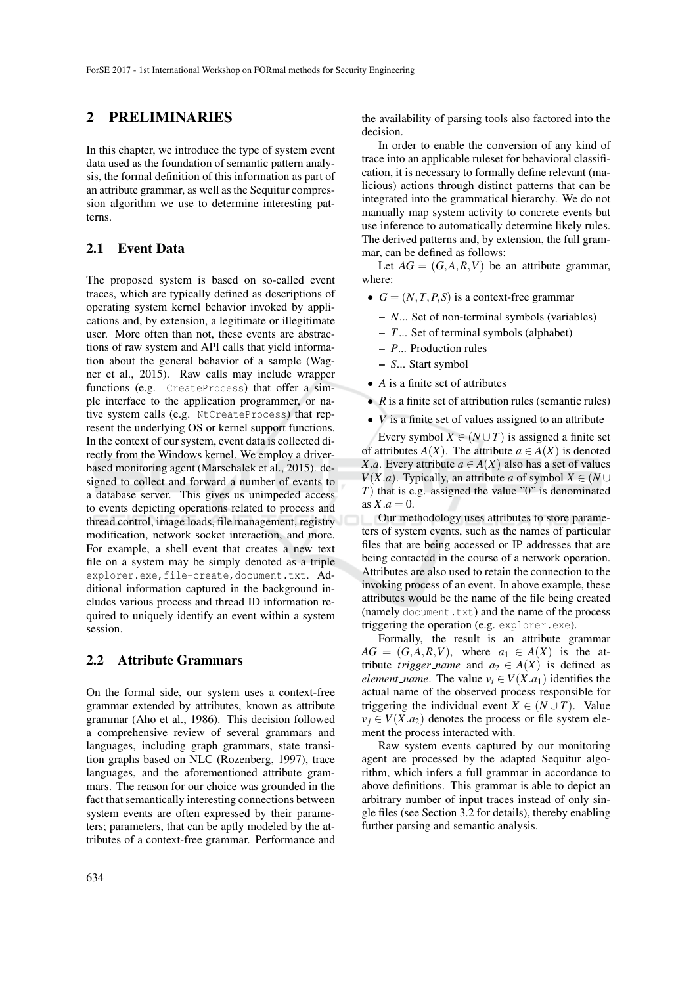## 2 PRELIMINARIES

In this chapter, we introduce the type of system event data used as the foundation of semantic pattern analysis, the formal definition of this information as part of an attribute grammar, as well as the Sequitur compression algorithm we use to determine interesting patterns.

## 2.1 Event Data

The proposed system is based on so-called event traces, which are typically defined as descriptions of operating system kernel behavior invoked by applications and, by extension, a legitimate or illegitimate user. More often than not, these events are abstractions of raw system and API calls that yield information about the general behavior of a sample (Wagner et al., 2015). Raw calls may include wrapper functions (e.g. CreateProcess) that offer a simple interface to the application programmer, or native system calls (e.g. NtCreateProcess) that represent the underlying OS or kernel support functions. In the context of our system, event data is collected directly from the Windows kernel. We employ a driverbased monitoring agent (Marschalek et al., 2015). designed to collect and forward a number of events to a database server. This gives us unimpeded access to events depicting operations related to process and thread control, image loads, file management, registry modification, network socket interaction, and more. For example, a shell event that creates a new text file on a system may be simply denoted as a triple explorer.exe, file-create, document.txt. Additional information captured in the background includes various process and thread ID information required to uniquely identify an event within a system session.

## 2.2 Attribute Grammars

On the formal side, our system uses a context-free grammar extended by attributes, known as attribute grammar (Aho et al., 1986). This decision followed a comprehensive review of several grammars and languages, including graph grammars, state transition graphs based on NLC (Rozenberg, 1997), trace languages, and the aforementioned attribute grammars. The reason for our choice was grounded in the fact that semantically interesting connections between system events are often expressed by their parameters; parameters, that can be aptly modeled by the attributes of a context-free grammar. Performance and

In order to enable the conversion of any kind of trace into an applicable ruleset for behavioral classification, it is necessary to formally define relevant (malicious) actions through distinct patterns that can be integrated into the grammatical hierarchy. We do not manually map system activity to concrete events but use inference to automatically determine likely rules. The derived patterns and, by extension, the full grammar, can be defined as follows:

Let  $AG = (G, A, R, V)$  be an attribute grammar, where:

- $G = (N, T, P, S)$  is a context-free grammar
	- *N*... Set of non-terminal symbols (variables)
	- *T*... Set of terminal symbols (alphabet)
	- *P*... Production rules
	- *S*... Start symbol
- *A* is a finite set of attributes
- *R* is a finite set of attribution rules (semantic rules)
- *V* is a finite set of values assigned to an attribute

Every symbol  $X \in (N \cup T)$  is assigned a finite set of attributes  $A(X)$ . The attribute  $a \in A(X)$  is denoted *X*.*a*. Every attribute  $a \in A(X)$  also has a set of values *V*(*X.a*). Typically, an attribute *a* of symbol *X* ∈ (*N*∪ *T*) that is e.g. assigned the value "0" is denominated as  $X.a = 0$ .

Our methodology uses attributes to store parameters of system events, such as the names of particular files that are being accessed or IP addresses that are being contacted in the course of a network operation. Attributes are also used to retain the connection to the invoking process of an event. In above example, these attributes would be the name of the file being created (namely document.txt) and the name of the process triggering the operation (e.g. explorer.exe).

Formally, the result is an attribute grammar  $AG = (G, A, R, V)$ , where  $a_1 \in A(X)$  is the attribute *trigger\_name* and  $a_2 \in A(X)$  is defined as *element* \_*name*. The value  $v_i \in V(X.a_1)$  identifies the actual name of the observed process responsible for triggering the individual event  $X \in (N \cup T)$ . Value  $v_i \in V(X.a_2)$  denotes the process or file system element the process interacted with.

Raw system events captured by our monitoring agent are processed by the adapted Sequitur algorithm, which infers a full grammar in accordance to above definitions. This grammar is able to depict an arbitrary number of input traces instead of only single files (see Section 3.2 for details), thereby enabling further parsing and semantic analysis.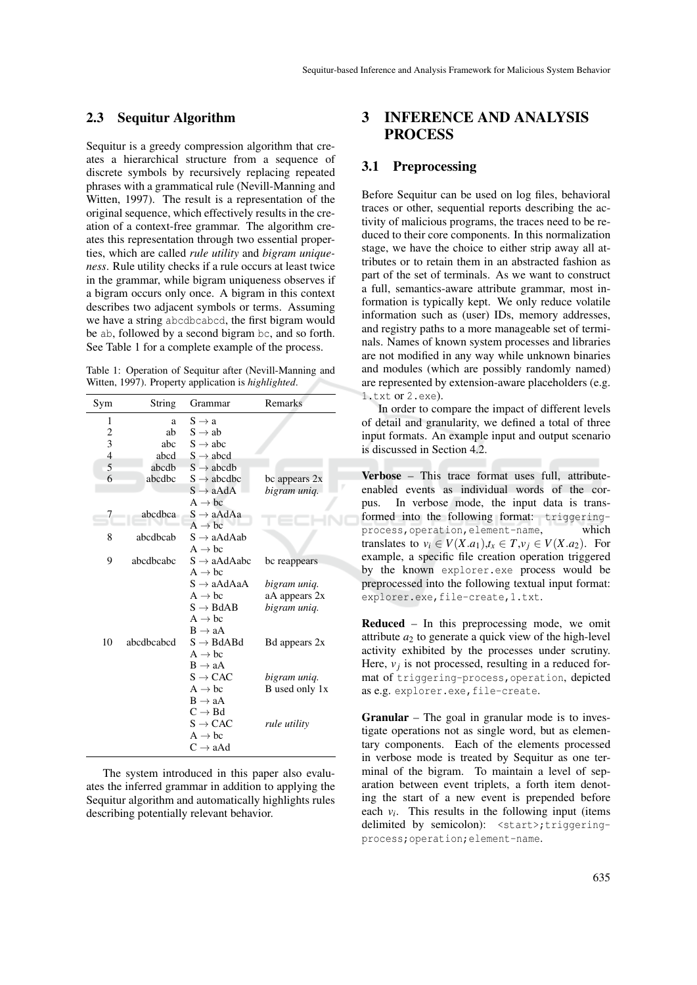## 2.3 Sequitur Algorithm

Sequitur is a greedy compression algorithm that creates a hierarchical structure from a sequence of discrete symbols by recursively replacing repeated phrases with a grammatical rule (Nevill-Manning and Witten, 1997). The result is a representation of the original sequence, which effectively results in the creation of a context-free grammar. The algorithm creates this representation through two essential properties, which are called *rule utility* and *bigram uniqueness*. Rule utility checks if a rule occurs at least twice in the grammar, while bigram uniqueness observes if a bigram occurs only once. A bigram in this context describes two adjacent symbols or terms. Assuming we have a string abcdbcabcd, the first bigram would be ab, followed by a second bigram bc, and so forth. See Table 1 for a complete example of the process.

Table 1: Operation of Sequitur after (Nevill-Manning and Witten, 1997). Property application is *highlighted*.

| Remarks        |  |  |
|----------------|--|--|
|                |  |  |
|                |  |  |
|                |  |  |
|                |  |  |
|                |  |  |
| bc appears 2x  |  |  |
| bigram uniq.   |  |  |
|                |  |  |
|                |  |  |
|                |  |  |
|                |  |  |
|                |  |  |
| bc reappears   |  |  |
|                |  |  |
| bigram uniq.   |  |  |
| aA appears 2x  |  |  |
| bigram uniq.   |  |  |
|                |  |  |
|                |  |  |
| Bd appears 2x  |  |  |
|                |  |  |
|                |  |  |
| bigram uniq.   |  |  |
| B used only 1x |  |  |
|                |  |  |
|                |  |  |
|                |  |  |
|                |  |  |
|                |  |  |
|                |  |  |

The system introduced in this paper also evaluates the inferred grammar in addition to applying the Sequitur algorithm and automatically highlights rules describing potentially relevant behavior.

## 3 INFERENCE AND ANALYSIS **PROCESS**

### 3.1 Preprocessing

Before Sequitur can be used on log files, behavioral traces or other, sequential reports describing the activity of malicious programs, the traces need to be reduced to their core components. In this normalization stage, we have the choice to either strip away all attributes or to retain them in an abstracted fashion as part of the set of terminals. As we want to construct a full, semantics-aware attribute grammar, most information is typically kept. We only reduce volatile information such as (user) IDs, memory addresses, and registry paths to a more manageable set of terminals. Names of known system processes and libraries are not modified in any way while unknown binaries and modules (which are possibly randomly named) are represented by extension-aware placeholders (e.g. 1.txt or 2.exe).

In order to compare the impact of different levels of detail and granularity, we defined a total of three input formats. An example input and output scenario is discussed in Section 4.2.

Verbose – This trace format uses full, attributeenabled events as individual words of the corpus. In verbose mode, the input data is transformed into the following format: triggeringprocess,operation,element-name, which translates to  $v_i \in V(X.a_1), t_x \in T, v_j \in V(X.a_2)$ . For example, a specific file creation operation triggered by the known explorer.exe process would be preprocessed into the following textual input format: explorer.exe,file-create,1.txt.

Reduced – In this preprocessing mode, we omit attribute  $a_2$  to generate a quick view of the high-level activity exhibited by the processes under scrutiny. Here,  $v_j$  is not processed, resulting in a reduced format of triggering-process,operation, depicted as e.g. explorer.exe,file-create.

Granular – The goal in granular mode is to investigate operations not as single word, but as elementary components. Each of the elements processed in verbose mode is treated by Sequitur as one terminal of the bigram. To maintain a level of separation between event triplets, a forth item denoting the start of a new event is prepended before each  $v_i$ . This results in the following input (items delimited by semicolon): <start>;triggeringprocess;operation;element-name.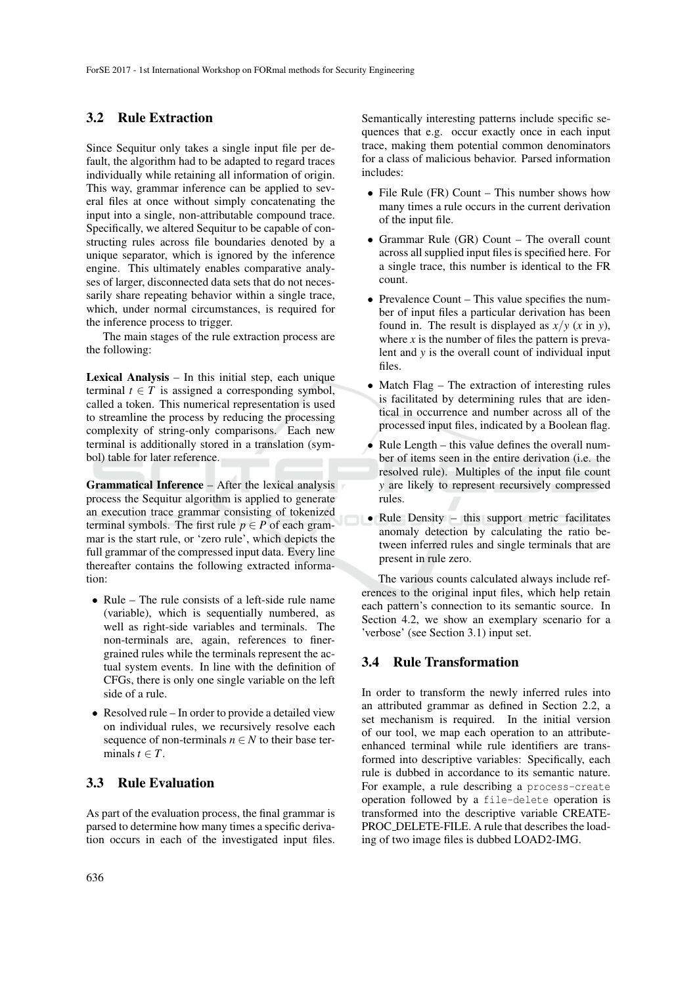### 3.2 Rule Extraction

Since Sequitur only takes a single input file per default, the algorithm had to be adapted to regard traces individually while retaining all information of origin. This way, grammar inference can be applied to several files at once without simply concatenating the input into a single, non-attributable compound trace. Specifically, we altered Sequitur to be capable of constructing rules across file boundaries denoted by a unique separator, which is ignored by the inference engine. This ultimately enables comparative analyses of larger, disconnected data sets that do not necessarily share repeating behavior within a single trace, which, under normal circumstances, is required for the inference process to trigger.

The main stages of the rule extraction process are the following:

Lexical Analysis – In this initial step, each unique terminal  $t \in T$  is assigned a corresponding symbol, called a token. This numerical representation is used to streamline the process by reducing the processing complexity of string-only comparisons. Each new terminal is additionally stored in a translation (symbol) table for later reference.

Grammatical Inference – After the lexical analysis process the Sequitur algorithm is applied to generate an execution trace grammar consisting of tokenized terminal symbols. The first rule  $p \in P$  of each grammar is the start rule, or 'zero rule', which depicts the full grammar of the compressed input data. Every line thereafter contains the following extracted information:

- Rule The rule consists of a left-side rule name (variable), which is sequentially numbered, as well as right-side variables and terminals. The non-terminals are, again, references to finergrained rules while the terminals represent the actual system events. In line with the definition of CFGs, there is only one single variable on the left side of a rule.
- Resolved rule In order to provide a detailed view on individual rules, we recursively resolve each sequence of non-terminals  $n \in N$  to their base terminals  $t \in T$ .

## 3.3 Rule Evaluation

As part of the evaluation process, the final grammar is parsed to determine how many times a specific derivation occurs in each of the investigated input files. Semantically interesting patterns include specific sequences that e.g. occur exactly once in each input trace, making them potential common denominators for a class of malicious behavior. Parsed information includes:

- File Rule (FR) Count This number shows how many times a rule occurs in the current derivation of the input file.
- Grammar Rule (GR) Count The overall count across all supplied input files is specified here. For a single trace, this number is identical to the FR count.
- Prevalence Count This value specifies the number of input files a particular derivation has been found in. The result is displayed as  $x/y$  (*x* in *y*), where  $x$  is the number of files the pattern is prevalent and *y* is the overall count of individual input files.
- Match Flag The extraction of interesting rules is facilitated by determining rules that are identical in occurrence and number across all of the processed input files, indicated by a Boolean flag.
- Rule Length this value defines the overall number of items seen in the entire derivation (i.e. the resolved rule). Multiples of the input file count *y* are likely to represent recursively compressed rules.
- Rule Density this support metric facilitates anomaly detection by calculating the ratio between inferred rules and single terminals that are present in rule zero.

The various counts calculated always include references to the original input files, which help retain each pattern's connection to its semantic source. In Section 4.2, we show an exemplary scenario for a 'verbose' (see Section 3.1) input set.

## 3.4 Rule Transformation

In order to transform the newly inferred rules into an attributed grammar as defined in Section 2.2, a set mechanism is required. In the initial version of our tool, we map each operation to an attributeenhanced terminal while rule identifiers are transformed into descriptive variables: Specifically, each rule is dubbed in accordance to its semantic nature. For example, a rule describing a process-create operation followed by a file-delete operation is transformed into the descriptive variable CREATE-PROC DELETE-FILE. A rule that describes the loading of two image files is dubbed LOAD2-IMG.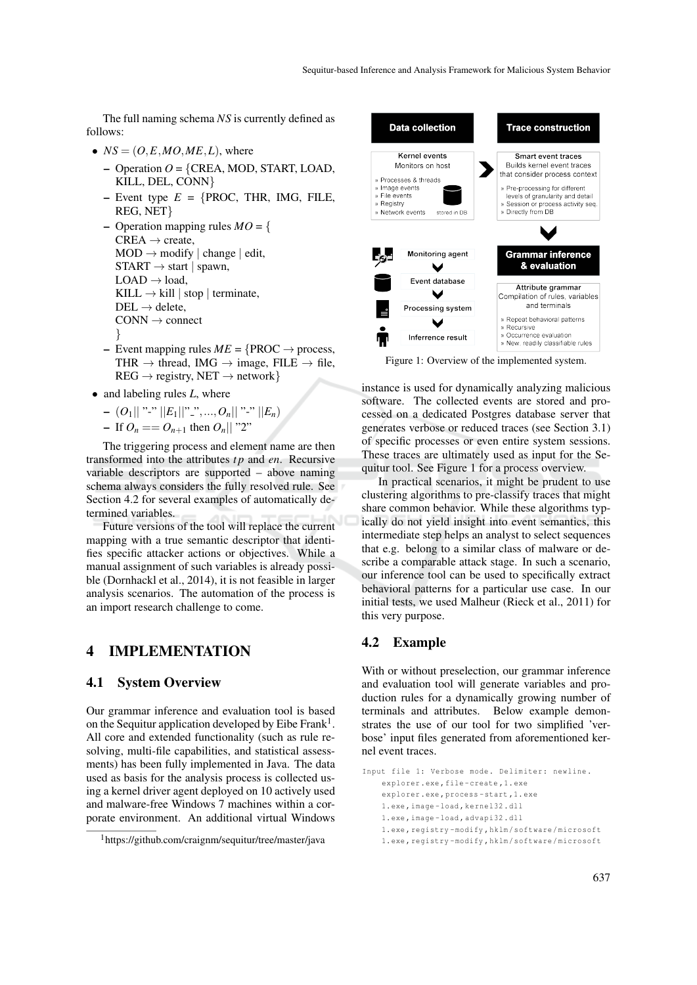The full naming schema *NS* is currently defined as follows:

- $NS = (O, E, MO, ME, L)$ , where
	- Operation *O* = {CREA, MOD, START, LOAD, KILL, DEL, CONN}
	- $-$  Event type  $E = \{$  PROC, THR, IMG, FILE, REG, NET}

– Operation mapping rules  $MO = \{$  $CREA \rightarrow create$ ,  $MOD \rightarrow modify \mid change \mid edit$ ,  $STAT \rightarrow start \mid spawn,$  $LOAD \rightarrow load$ , KILL  $\rightarrow$  kill | stop | terminate,  $DEL \rightarrow$  delete,  $CONN \rightarrow connect$ }

- Event mapping rules  $ME = \{ \text{PROC} \rightarrow \text{process}, \}$ THR  $\rightarrow$  thread, IMG  $\rightarrow$  image, FILE  $\rightarrow$  file,  $REG \rightarrow registry, NET \rightarrow network\}$
- and labeling rules *L*, where

$$
- (O_1|| "^{-}" ||E_1|| "^{-}",..., O_n|| "^{-}" ||E_n)
$$

- If 
$$
O_n = O_{n+1}
$$
 then  $O_n || "2"$ 

The triggering process and element name are then transformed into the attributes *t p* and *en*. Recursive variable descriptors are supported – above naming schema always considers the fully resolved rule. See Section 4.2 for several examples of automatically determined variables.

Future versions of the tool will replace the current mapping with a true semantic descriptor that identifies specific attacker actions or objectives. While a manual assignment of such variables is already possible (Dornhackl et al., 2014), it is not feasible in larger analysis scenarios. The automation of the process is an import research challenge to come.

## 4 IMPLEMENTATION

## 4.1 System Overview

Our grammar inference and evaluation tool is based on the Sequitur application developed by Eibe Frank<sup>1</sup>. All core and extended functionality (such as rule resolving, multi-file capabilities, and statistical assessments) has been fully implemented in Java. The data used as basis for the analysis process is collected using a kernel driver agent deployed on 10 actively used and malware-free Windows 7 machines within a corporate environment. An additional virtual Windows



Figure 1: Overview of the implemented system.

instance is used for dynamically analyzing malicious software. The collected events are stored and processed on a dedicated Postgres database server that generates verbose or reduced traces (see Section 3.1) of specific processes or even entire system sessions. These traces are ultimately used as input for the Sequitur tool. See Figure 1 for a process overview.

In practical scenarios, it might be prudent to use clustering algorithms to pre-classify traces that might share common behavior. While these algorithms typically do not yield insight into event semantics, this intermediate step helps an analyst to select sequences that e.g. belong to a similar class of malware or describe a comparable attack stage. In such a scenario, our inference tool can be used to specifically extract behavioral patterns for a particular use case. In our initial tests, we used Malheur (Rieck et al., 2011) for this very purpose.

### 4.2 Example

With or without preselection, our grammar inference and evaluation tool will generate variables and production rules for a dynamically growing number of terminals and attributes. Below example demonstrates the use of our tool for two simplified 'verbose' input files generated from aforementioned kernel event traces.

```
Input file 1: Verbose mode. Delimiter: newline.
    explorer .exe , file - create ,1. exe
    explorer .exe , process - start ,1. exe
    1. exe , image - load , kernel32 . dll
    1. exe , image - load , advapi32 . dll
    1. exe , registry - modify , hklm / software / microsoft
    1. exe , registry - modify , hklm / software / microsoft
```
<sup>&</sup>lt;sup>1</sup>https://github.com/craignm/sequitur/tree/master/java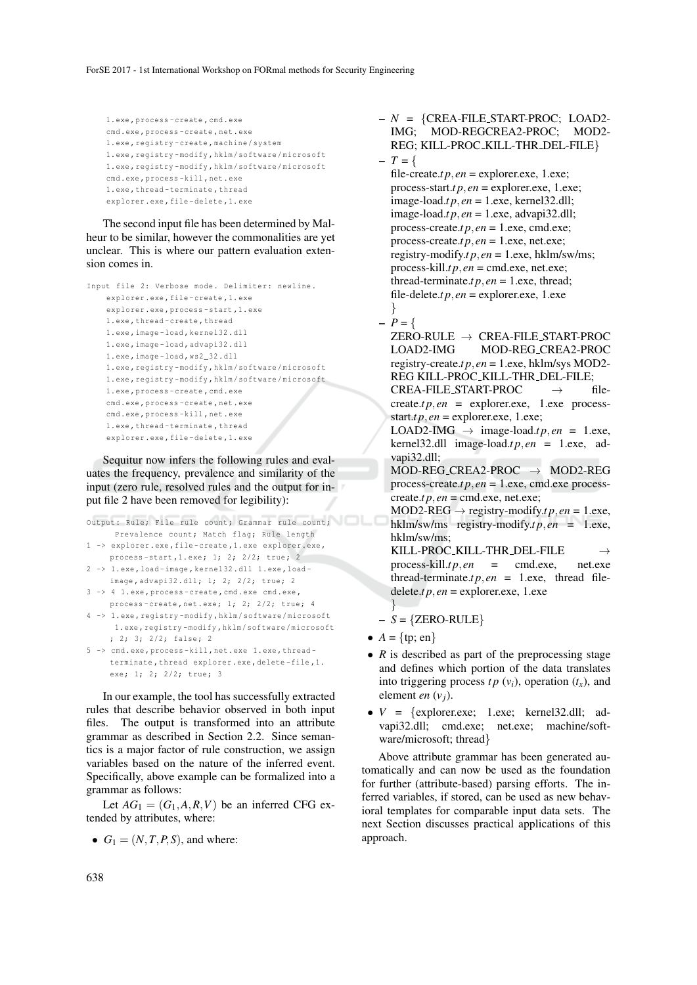```
1. exe , process - create , cmd . exe
cmd .exe , process - create , net . exe
1. exe , registry - create , machine / system
1. exe , registry - modify , hklm / software / microsoft
1. exe , registry - modify , hklm / software / microsoft
cmd .exe , process - kill , net . exe
1. exe , thread - terminate , thread
explorer .exe , file - delete ,1. exe
```
The second input file has been determined by Malheur to be similar, however the commonalities are yet unclear. This is where our pattern evaluation extension comes in.

```
Input file 2: Verbose mode. Delimiter: newline.
    explorer.exe, file-create, 1. exe
    explorer .exe , process - start ,1. exe
    1. exe , thread - create , thread
    1. exe , image - load , kernel32 . dll
    1. exe , image - load , advapi32 . dll
    1. exe , image - load , ws2_32 . dll
    1. exe , registry - modify , hklm / software / microsoft
    1. exe , registry - modify , hklm / software / microsoft
    1. exe , process - create , cmd . exe
    cmd .exe , process - create , net . exe
    cmd .exe , process - kill , net . exe
    1. exe , thread - terminate , thread
    explorer .exe , file - delete ,1. exe
```
Sequitur now infers the following rules and evaluates the frequency, prevalence and similarity of the input (zero rule, resolved rules and the output for input file 2 have been removed for legibility):

```
Output: Rule; File rule count; Grammar rule count;
      Prevalence count; Match flag; Rule length
1 -> explorer .exe , file - create ,1. exe explorer .exe ,
     process-start, 1. exe; 1; 2; 2/2; true; 2
2 -> 1. exe , load - image , kernel32 . dll 1. exe , load -
     image, advapi32.dll; 1; 2; 2/2; true; 2
3 -> 4 1. exe , process - create , cmd . exe cmd .exe ,
     process-create, net. exe; 1; 2; 2/2; true; 4
4 -> 1. exe , registry - modify , hklm / software / microsoft
     1. exe , registry - modify , hklm / software / microsoft
     : 2: 3: 2/2: false: 25 -> cmd .exe , process - kill , net . exe 1. exe , thread -
     terminate , thread explorer .exe , delete - file ,1.
     exe; 1; 2; 2/2; true; 3
```
In our example, the tool has successfully extracted rules that describe behavior observed in both input files. The output is transformed into an attribute grammar as described in Section 2.2. Since semantics is a major factor of rule construction, we assign variables based on the nature of the inferred event. Specifically, above example can be formalized into a grammar as follows:

Let  $AG_1 = (G_1, A, R, V)$  be an inferred CFG extended by attributes, where:

•  $G_1 = (N, T, P, S)$ , and where:

– *N* = {CREA-FILE START-PROC; LOAD2- MOD-REGCREA2-PROC; MOD2-REG; KILL-PROC\_KILL-THR\_DEL-FILE}  $- T = \{$ 

file-create.*t*  $p$ ,  $en$  = explorer.exe, 1.exe; process-start.*tp*,  $en$  = explorer.exe, 1.exe; image-load.*t p*, *en* = 1.exe, kernel32.dll;  $image$ -load.*t p*,  $en = 1$ .exe, advapi32.dll; process-create.*t p*, *en* = 1.exe, cmd.exe; process-create.*t p*, *en* = 1.exe, net.exe; registry-modify.*tp*,  $en = 1$ .exe, hklm/sw/ms; process-kill.*t p*, *en* = cmd.exe, net.exe; thread-terminate.*tp*,  $en = 1$ .exe, thread; file-delete.*t*  $p$ ,  $en$  = explorer.exe, 1.exe }

## $- P = \{$

 $ZERO-RULE \rightarrow CREA-FILE_START-PROC$ <br>LOAD2-IMG MOD-REG\_CREA2-PROC MOD-REG\_CREA2-PROC registry-create.*t p*, *en* = 1.exe, hklm/sys MOD2- REG KILL-PROC KILL-THR DEL-FILE;  $CREA-FILE\_START-PROC$   $\rightarrow$  file $create.tp, en = explore,exe, 1.exe process$ start.*t*  $p$ ,  $en$  = explorer.exe, 1.exe; LOAD2-IMG  $\rightarrow$  image-load.*tp.en* = 1.exe, kernel32.dll image-load.*tp*,  $en = 1$ .exe, advapi32.dll;

 $MOD-REG\_CREA2-PROC \rightarrow MOD2-REG$ process-create.*t p*, *en* = 1.exe, cmd.exe process $create.t p, en = cmd.exe, net.exe;$ 

 $MOD2-REG \rightarrow registry-modify.tp, en = 1.exe,$ hklm/sw/ms registry-modify.*tp*,  $en = 1$ .exe, hklm/sw/ms;

KILL-PROC\_KILL-THR\_DEL-FILE  $\rightarrow$  process-kill.*tp*,*en* = cmd.exe, net.exe  $process$ -kill.*t p*, *en* = cmd.exe, thread-terminate.*tp*,  $en = 1$ .exe, thread file- $\text{delete}.tp, en = \text{explorer}.\text{exe}, 1.\text{exe}$ 

- } – *S* = {ZERO-RULE}
- $A = \{tp; en\}$
- *R* is described as part of the preprocessing stage and defines which portion of the data translates into triggering process  $tp (v_i)$ , operation  $(t_x)$ , and element *en* (*vj*).
- $V = \{\text{exphere, } 1 \text{.} \text{exec}; \text{ } \text{kernel32}. \text{dll}; \text{ } \text{ad-} \}$ vapi32.dll; cmd.exe; net.exe; machine/software/microsoft; thread}

Above attribute grammar has been generated automatically and can now be used as the foundation for further (attribute-based) parsing efforts. The inferred variables, if stored, can be used as new behavioral templates for comparable input data sets. The next Section discusses practical applications of this approach.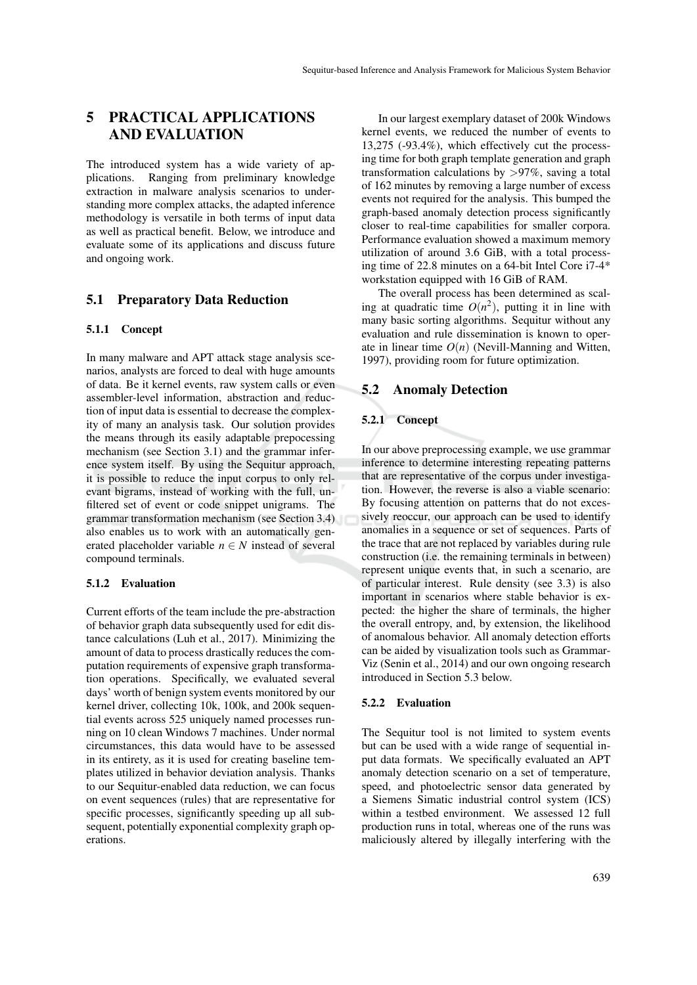## 5 PRACTICAL APPLICATIONS AND EVALUATION

The introduced system has a wide variety of applications. Ranging from preliminary knowledge extraction in malware analysis scenarios to understanding more complex attacks, the adapted inference methodology is versatile in both terms of input data as well as practical benefit. Below, we introduce and evaluate some of its applications and discuss future and ongoing work.

## 5.1 Preparatory Data Reduction

#### 5.1.1 Concept

In many malware and APT attack stage analysis scenarios, analysts are forced to deal with huge amounts of data. Be it kernel events, raw system calls or even assembler-level information, abstraction and reduction of input data is essential to decrease the complexity of many an analysis task. Our solution provides the means through its easily adaptable prepocessing mechanism (see Section 3.1) and the grammar inference system itself. By using the Sequitur approach, it is possible to reduce the input corpus to only relevant bigrams, instead of working with the full, unfiltered set of event or code snippet unigrams. The grammar transformation mechanism (see Section 3.4) also enables us to work with an automatically generated placeholder variable  $n \in N$  instead of several compound terminals.

#### 5.1.2 Evaluation

Current efforts of the team include the pre-abstraction of behavior graph data subsequently used for edit distance calculations (Luh et al., 2017). Minimizing the amount of data to process drastically reduces the computation requirements of expensive graph transformation operations. Specifically, we evaluated several days' worth of benign system events monitored by our kernel driver, collecting 10k, 100k, and 200k sequential events across 525 uniquely named processes running on 10 clean Windows 7 machines. Under normal circumstances, this data would have to be assessed in its entirety, as it is used for creating baseline templates utilized in behavior deviation analysis. Thanks to our Sequitur-enabled data reduction, we can focus on event sequences (rules) that are representative for specific processes, significantly speeding up all subsequent, potentially exponential complexity graph operations.

In our largest exemplary dataset of 200k Windows kernel events, we reduced the number of events to 13,275 (-93.4%), which effectively cut the processing time for both graph template generation and graph transformation calculations by >97%, saving a total of 162 minutes by removing a large number of excess events not required for the analysis. This bumped the graph-based anomaly detection process significantly closer to real-time capabilities for smaller corpora. Performance evaluation showed a maximum memory utilization of around 3.6 GiB, with a total processing time of 22.8 minutes on a 64-bit Intel Core i7-4\* workstation equipped with 16 GiB of RAM.

The overall process has been determined as scaling at quadratic time  $O(n^2)$ , putting it in line with many basic sorting algorithms. Sequitur without any evaluation and rule dissemination is known to operate in linear time  $O(n)$  (Nevill-Manning and Witten, 1997), providing room for future optimization.

## 5.2 Anomaly Detection

### 5.2.1 Concept

In our above preprocessing example, we use grammar inference to determine interesting repeating patterns that are representative of the corpus under investigation. However, the reverse is also a viable scenario: By focusing attention on patterns that do not excessively reoccur, our approach can be used to identify anomalies in a sequence or set of sequences. Parts of the trace that are not replaced by variables during rule construction (i.e. the remaining terminals in between) represent unique events that, in such a scenario, are of particular interest. Rule density (see 3.3) is also important in scenarios where stable behavior is expected: the higher the share of terminals, the higher the overall entropy, and, by extension, the likelihood of anomalous behavior. All anomaly detection efforts can be aided by visualization tools such as Grammar-Viz (Senin et al., 2014) and our own ongoing research introduced in Section 5.3 below.

#### 5.2.2 Evaluation

The Sequitur tool is not limited to system events but can be used with a wide range of sequential input data formats. We specifically evaluated an APT anomaly detection scenario on a set of temperature, speed, and photoelectric sensor data generated by a Siemens Simatic industrial control system (ICS) within a testbed environment. We assessed 12 full production runs in total, whereas one of the runs was maliciously altered by illegally interfering with the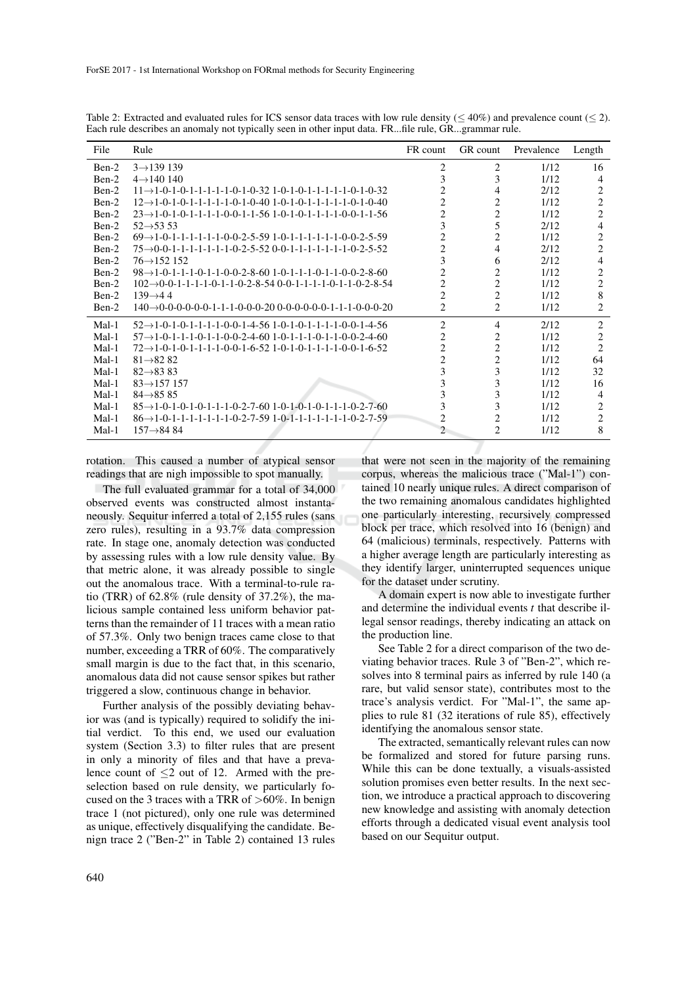| File    | Rule                                                                                                           | FR count       | GR count       | Prevalence | Length         |
|---------|----------------------------------------------------------------------------------------------------------------|----------------|----------------|------------|----------------|
| Ben-2   | $3 \rightarrow 139139$                                                                                         | $\overline{2}$ | 2              | 1/12       | 16             |
| Ben-2   | $4 \rightarrow 140140$                                                                                         | 3              | 3              | 1/12       | 4              |
| Ben-2   | $11 \rightarrow 1 - 0 - 1 - 0 - 1 - 1 - 1 - 1 - 0 - 1 - 0 - 32$ 1-0-1-0-1-1-1-1-1-1-0-1-0-32                   | 2              | 4              | 2/12       | 2              |
| Ben-2   | $12 \rightarrow 1 - 0 - 1 - 0 - 1 - 1 - 1 - 1 - 0 - 1 - 0 - 40$ 1-0-1-0-1-0-1-1-1-1-1-0-1-0-40                 | 2              | 2              | 1/12       | $\overline{c}$ |
| Ben-2   | $23 \rightarrow 1 - 0 - 1 - 0 - 1 - 1 - 1 - 0 - 0 - 1 - 1 - 56$ 1-0-1-0-1-1-1-1-0-0-1-1-56                     | $\overline{2}$ | 2              | 1/12       | $\overline{c}$ |
| Ben-2   | $52 \rightarrow 5353$                                                                                          | 3              | $\overline{5}$ | 2/12       | 4              |
| Ben-2   | $69 \rightarrow 1 - 0 - 1 - 1 - 1 - 1 - 1 - 0 - 0 - 2 - 5 - 59$ 1-0-1-1-1-1-1-1-1-0-0-2-5-59                   | $\overline{2}$ | $\overline{c}$ | 1/12       | 2              |
| Ben-2   | $75 \rightarrow 0 - 0 - 1 - 1 - 1 - 1 - 1 - 1 - 0 - 2 - 5 - 52 0 - 0 - 1 - 1 - 1 - 1 - 1 - 1 - 0 - 2 - 5 - 52$ | $\overline{c}$ | 4              | 2/12       | $\overline{c}$ |
| Ben-2   | $76 \rightarrow 152152$                                                                                        | 3              | 6              | 2/12       | 4              |
| Ben-2   | $98 \rightarrow 1 - 0 - 1 - 1 - 1 - 0 - 1 - 1 - 0 - 2 - 8 - 60$ 1-0-1-1-1-0-1-1-0-0-2-8-60                     | $\overline{c}$ | 2              | 1/12       | 2              |
| Ben-2   | $102 \rightarrow 0 - 0 - 1 - 1 - 1 - 0 - 1 - 1 - 0 - 2 - 8 - 54$ 0-0-1-1-1-1-0-1-1-0-2-8-54                    | 2              | 2              | 1/12       | 2              |
| Ben-2   | $139 \rightarrow 44$                                                                                           | $\overline{c}$ | $\overline{c}$ | 1/12       | 8              |
| Ben-2   | $140 \rightarrow 0-0-0-0-0-1-1-1-0-0-0-20$ 0-0-0-0-0-0-1-1-1-0-0-0-20                                          | 2              | 2              | 1/12       | 2              |
| Mal-1   | $52 \rightarrow 1 - 0 - 1 - 0 - 1 - 1 - 1 - 0 - 0 - 1 - 4 - 56$ 1-0-1-0-1-1-1-1-0-0-1-4-56                     | $\overline{c}$ | 4              | 2/12       | 2              |
| Mal-1   | $57 \rightarrow 1 - 0 - 1 - 1 - 1 - 0 - 1 - 1 - 0 - 2 - 4 - 60$ 1-0-1-1-1-0-1-1-0-0-2-4-60                     | 2              | 2              | 1/12       | 2              |
| $Mal-1$ | $72 \rightarrow 1 - 0 - 1 - 0 - 1 - 1 - 1 - 0 - 0 - 1 - 6 - 52$ 1-0-1-0-1-1-1-1-0-0-1-6-52                     | $\overline{c}$ | $\overline{c}$ | 1/12       | $\overline{c}$ |
| $Mal-1$ | $81 \rightarrow 8282$                                                                                          | $\overline{c}$ | 2              | 1/12       | 64             |
| $Mal-1$ | $82 \rightarrow 8383$                                                                                          | 3              | 3              | 1/12       | 32             |
| $Mal-1$ | $83 \rightarrow 157$ 157                                                                                       | 3              | 3              | 1/12       | 16             |
| $Mal-1$ | $84 \rightarrow 8585$                                                                                          | 3              | 3              | 1/12       | 4              |
| $Mal-1$ | $85 \rightarrow 1 - 0 - 1 - 0 - 1 - 0 - 1 - 1 - 0 - 2 - 7 - 60$ 1-0-1-0-1-0-1-1-1-0-2-7-60                     | 3              | 3              | 1/12       | 2              |
| Mal-1   | $86 \rightarrow 1 - 0 - 1 - 1 - 1 - 1 - 1 - 1 - 0 - 2 - 7 - 59$ 1-0-1-1-1-1-1-1-1-1-0-2-7-59                   | $\overline{2}$ | 2              | 1/12       | $\overline{c}$ |
| $Mal-1$ | $157 \rightarrow 8484$                                                                                         | $\overline{c}$ | 2              | 1/12       | 8              |

Table 2: Extracted and evaluated rules for ICS sensor data traces with low rule density ( $\leq 40\%$ ) and prevalence count ( $\leq 2$ ). Each rule describes an anomaly not typically seen in other input data. FR...file rule, GR...grammar rule.

rotation. This caused a number of atypical sensor readings that are nigh impossible to spot manually.

The full evaluated grammar for a total of 34,000 observed events was constructed almost instantaneously. Sequitur inferred a total of 2,155 rules (sans zero rules), resulting in a 93.7% data compression rate. In stage one, anomaly detection was conducted by assessing rules with a low rule density value. By that metric alone, it was already possible to single out the anomalous trace. With a terminal-to-rule ratio (TRR) of 62.8% (rule density of 37.2%), the malicious sample contained less uniform behavior patterns than the remainder of 11 traces with a mean ratio of 57.3%. Only two benign traces came close to that number, exceeding a TRR of 60%. The comparatively small margin is due to the fact that, in this scenario, anomalous data did not cause sensor spikes but rather triggered a slow, continuous change in behavior.

Further analysis of the possibly deviating behavior was (and is typically) required to solidify the initial verdict. To this end, we used our evaluation system (Section 3.3) to filter rules that are present in only a minority of files and that have a prevalence count of  $\leq$ 2 out of 12. Armed with the preselection based on rule density, we particularly focused on the 3 traces with a TRR of  $>60\%$ . In benign trace 1 (not pictured), only one rule was determined as unique, effectively disqualifying the candidate. Benign trace 2 ("Ben-2" in Table 2) contained 13 rules

that were not seen in the majority of the remaining corpus, whereas the malicious trace ("Mal-1") contained 10 nearly unique rules. A direct comparison of the two remaining anomalous candidates highlighted one particularly interesting, recursively compressed block per trace, which resolved into 16 (benign) and 64 (malicious) terminals, respectively. Patterns with a higher average length are particularly interesting as they identify larger, uninterrupted sequences unique for the dataset under scrutiny.

A domain expert is now able to investigate further and determine the individual events *t* that describe illegal sensor readings, thereby indicating an attack on the production line.

See Table 2 for a direct comparison of the two deviating behavior traces. Rule 3 of "Ben-2", which resolves into 8 terminal pairs as inferred by rule 140 (a rare, but valid sensor state), contributes most to the trace's analysis verdict. For "Mal-1", the same applies to rule 81 (32 iterations of rule 85), effectively identifying the anomalous sensor state.

The extracted, semantically relevant rules can now be formalized and stored for future parsing runs. While this can be done textually, a visuals-assisted solution promises even better results. In the next section, we introduce a practical approach to discovering new knowledge and assisting with anomaly detection efforts through a dedicated visual event analysis tool based on our Sequitur output.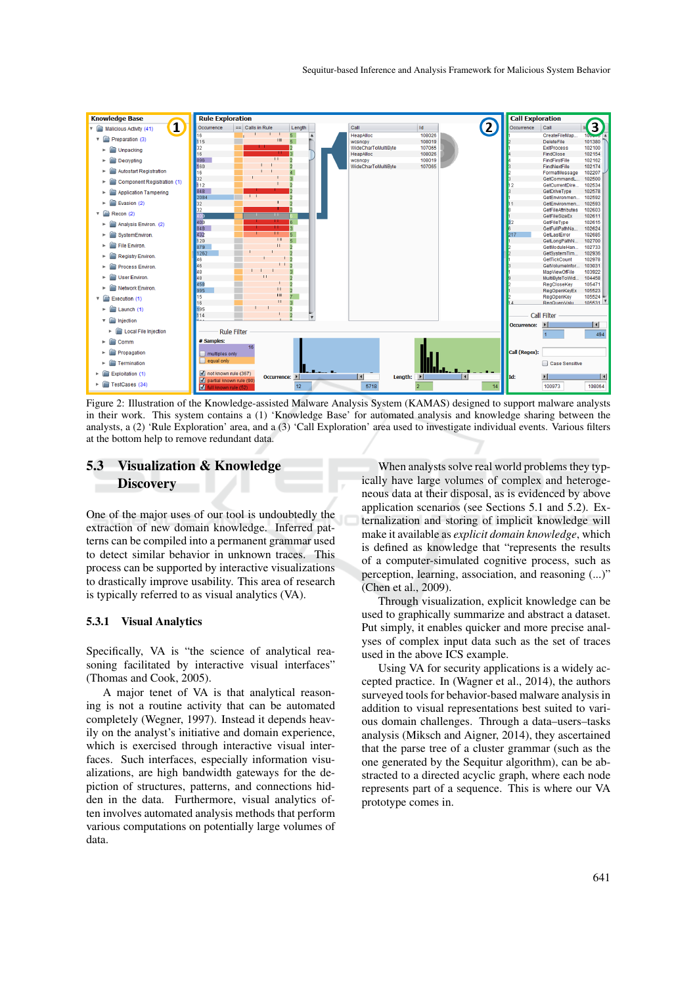![](_page_9_Figure_1.jpeg)

Figure 2: Illustration of the Knowledge-assisted Malware Analysis System (KAMAS) designed to support malware analysts in their work. This system contains a (1) 'Knowledge Base' for automated analysis and knowledge sharing between the analysts, a (2) 'Rule Exploration' area, and a (3) 'Call Exploration' area used to investigate individual events. Various filters at the bottom help to remove redundant data.

## 5.3 Visualization & Knowledge **Discovery**

One of the major uses of our tool is undoubtedly the extraction of new domain knowledge. Inferred patterns can be compiled into a permanent grammar used to detect similar behavior in unknown traces. This process can be supported by interactive visualizations to drastically improve usability. This area of research is typically referred to as visual analytics (VA).

#### 5.3.1 Visual Analytics

Specifically, VA is "the science of analytical reasoning facilitated by interactive visual interfaces" (Thomas and Cook, 2005).

A major tenet of VA is that analytical reasoning is not a routine activity that can be automated completely (Wegner, 1997). Instead it depends heavily on the analyst's initiative and domain experience, which is exercised through interactive visual interfaces. Such interfaces, especially information visualizations, are high bandwidth gateways for the depiction of structures, patterns, and connections hidden in the data. Furthermore, visual analytics often involves automated analysis methods that perform various computations on potentially large volumes of data.

When analysts solve real world problems they typically have large volumes of complex and heterogeneous data at their disposal, as is evidenced by above application scenarios (see Sections 5.1 and 5.2). Externalization and storing of implicit knowledge will make it available as *explicit domain knowledge*, which is defined as knowledge that "represents the results of a computer-simulated cognitive process, such as perception, learning, association, and reasoning (...)" (Chen et al., 2009).

Through visualization, explicit knowledge can be used to graphically summarize and abstract a dataset. Put simply, it enables quicker and more precise analyses of complex input data such as the set of traces used in the above ICS example.

Using VA for security applications is a widely accepted practice. In (Wagner et al., 2014), the authors surveyed tools for behavior-based malware analysis in addition to visual representations best suited to various domain challenges. Through a data–users–tasks analysis (Miksch and Aigner, 2014), they ascertained that the parse tree of a cluster grammar (such as the one generated by the Sequitur algorithm), can be abstracted to a directed acyclic graph, where each node represents part of a sequence. This is where our VA prototype comes in.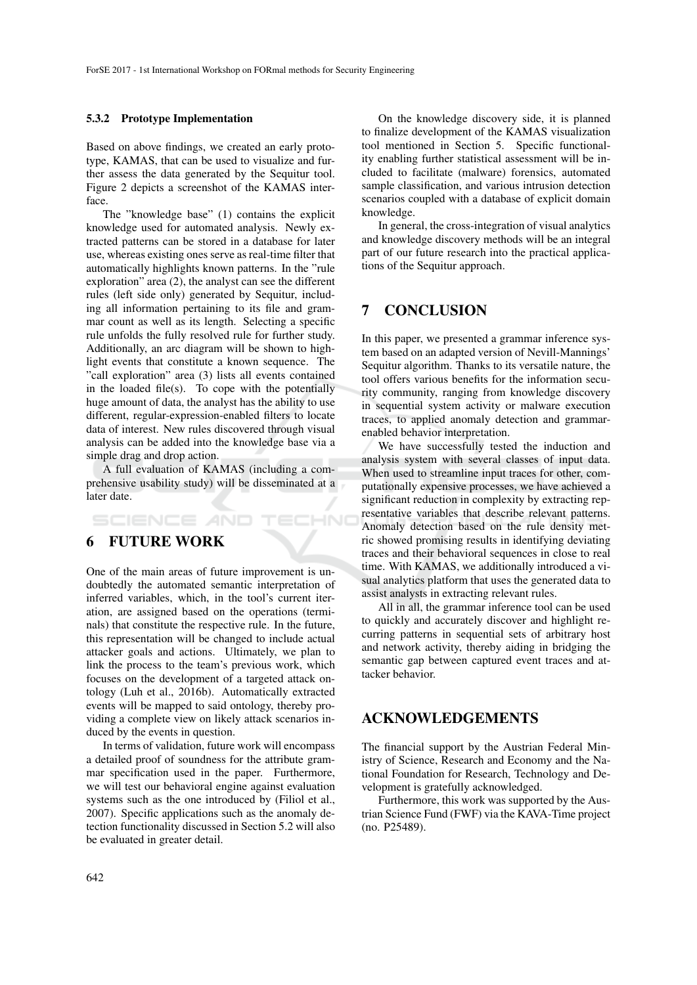#### 5.3.2 Prototype Implementation

Based on above findings, we created an early prototype, KAMAS, that can be used to visualize and further assess the data generated by the Sequitur tool. Figure 2 depicts a screenshot of the KAMAS interface.

The "knowledge base" (1) contains the explicit knowledge used for automated analysis. Newly extracted patterns can be stored in a database for later use, whereas existing ones serve as real-time filter that automatically highlights known patterns. In the "rule exploration" area (2), the analyst can see the different rules (left side only) generated by Sequitur, including all information pertaining to its file and grammar count as well as its length. Selecting a specific rule unfolds the fully resolved rule for further study. Additionally, an arc diagram will be shown to highlight events that constitute a known sequence. The "call exploration" area (3) lists all events contained in the loaded file(s). To cope with the potentially huge amount of data, the analyst has the ability to use different, regular-expression-enabled filters to locate data of interest. New rules discovered through visual analysis can be added into the knowledge base via a simple drag and drop action.

A full evaluation of KAMAS (including a comprehensive usability study) will be disseminated at a later date.

ECHNO

## 6 FUTURE WORK

SCIENCE *A*ND

One of the main areas of future improvement is undoubtedly the automated semantic interpretation of inferred variables, which, in the tool's current iteration, are assigned based on the operations (terminals) that constitute the respective rule. In the future, this representation will be changed to include actual attacker goals and actions. Ultimately, we plan to link the process to the team's previous work, which focuses on the development of a targeted attack ontology (Luh et al., 2016b). Automatically extracted events will be mapped to said ontology, thereby providing a complete view on likely attack scenarios induced by the events in question.

In terms of validation, future work will encompass a detailed proof of soundness for the attribute grammar specification used in the paper. Furthermore, we will test our behavioral engine against evaluation systems such as the one introduced by (Filiol et al., 2007). Specific applications such as the anomaly detection functionality discussed in Section 5.2 will also be evaluated in greater detail.

On the knowledge discovery side, it is planned to finalize development of the KAMAS visualization tool mentioned in Section 5. Specific functionality enabling further statistical assessment will be included to facilitate (malware) forensics, automated sample classification, and various intrusion detection scenarios coupled with a database of explicit domain knowledge.

In general, the cross-integration of visual analytics and knowledge discovery methods will be an integral part of our future research into the practical applications of the Sequitur approach.

## 7 CONCLUSION

In this paper, we presented a grammar inference system based on an adapted version of Nevill-Mannings' Sequitur algorithm. Thanks to its versatile nature, the tool offers various benefits for the information security community, ranging from knowledge discovery in sequential system activity or malware execution traces, to applied anomaly detection and grammarenabled behavior interpretation.

We have successfully tested the induction and analysis system with several classes of input data. When used to streamline input traces for other, computationally expensive processes, we have achieved a significant reduction in complexity by extracting representative variables that describe relevant patterns. Anomaly detection based on the rule density metric showed promising results in identifying deviating traces and their behavioral sequences in close to real time. With KAMAS, we additionally introduced a visual analytics platform that uses the generated data to assist analysts in extracting relevant rules.

All in all, the grammar inference tool can be used to quickly and accurately discover and highlight recurring patterns in sequential sets of arbitrary host and network activity, thereby aiding in bridging the semantic gap between captured event traces and attacker behavior.

## ACKNOWLEDGEMENTS

The financial support by the Austrian Federal Ministry of Science, Research and Economy and the National Foundation for Research, Technology and Development is gratefully acknowledged.

Furthermore, this work was supported by the Austrian Science Fund (FWF) via the KAVA-Time project (no. P25489).